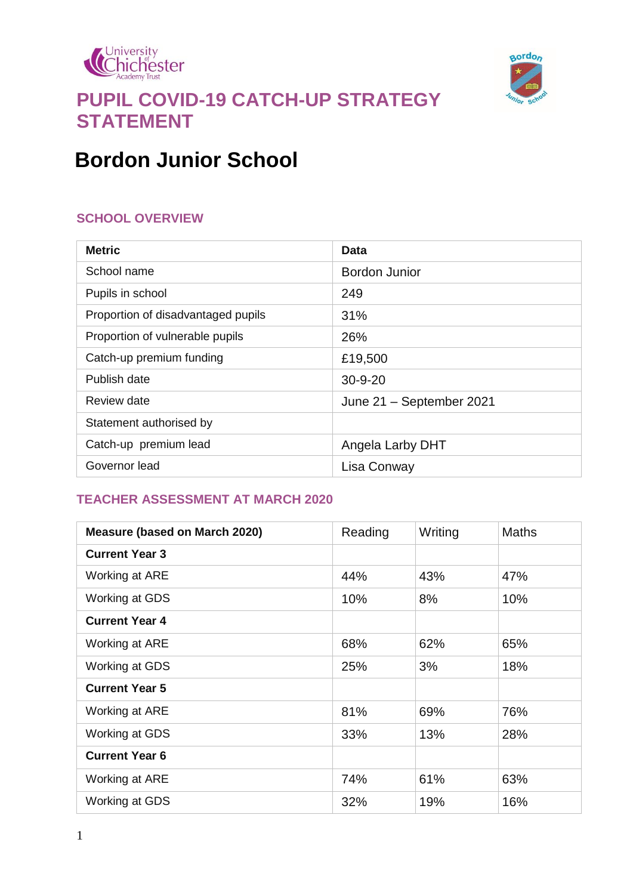



# **PUPIL COVID-19 CATCH-UP STRATEGY STATEMENT**

# **Bordon Junior School**

#### **SCHOOL OVERVIEW**

| <b>Metric</b>                      | Data                     |  |
|------------------------------------|--------------------------|--|
| School name                        | Bordon Junior            |  |
| Pupils in school                   | 249                      |  |
| Proportion of disadvantaged pupils | 31%                      |  |
| Proportion of vulnerable pupils    | 26%                      |  |
| Catch-up premium funding           | £19,500                  |  |
| Publish date                       | $30 - 9 - 20$            |  |
| Review date                        | June 21 - September 2021 |  |
| Statement authorised by            |                          |  |
| Catch-up premium lead              | Angela Larby DHT         |  |
| Governor lead                      | Lisa Conway              |  |

#### **TEACHER ASSESSMENT AT MARCH 2020**

| <b>Measure (based on March 2020)</b> | Reading | Writing | <b>Maths</b> |
|--------------------------------------|---------|---------|--------------|
| <b>Current Year 3</b>                |         |         |              |
| Working at ARE                       | 44%     | 43%     | 47%          |
| Working at GDS                       | 10%     | 8%      | 10%          |
| <b>Current Year 4</b>                |         |         |              |
| Working at ARE                       | 68%     | 62%     | 65%          |
| Working at GDS                       | 25%     | 3%      | 18%          |
| <b>Current Year 5</b>                |         |         |              |
| Working at ARE                       | 81%     | 69%     | 76%          |
| Working at GDS                       | 33%     | 13%     | 28%          |
| <b>Current Year 6</b>                |         |         |              |
| Working at ARE                       | 74%     | 61%     | 63%          |
| Working at GDS                       | 32%     | 19%     | 16%          |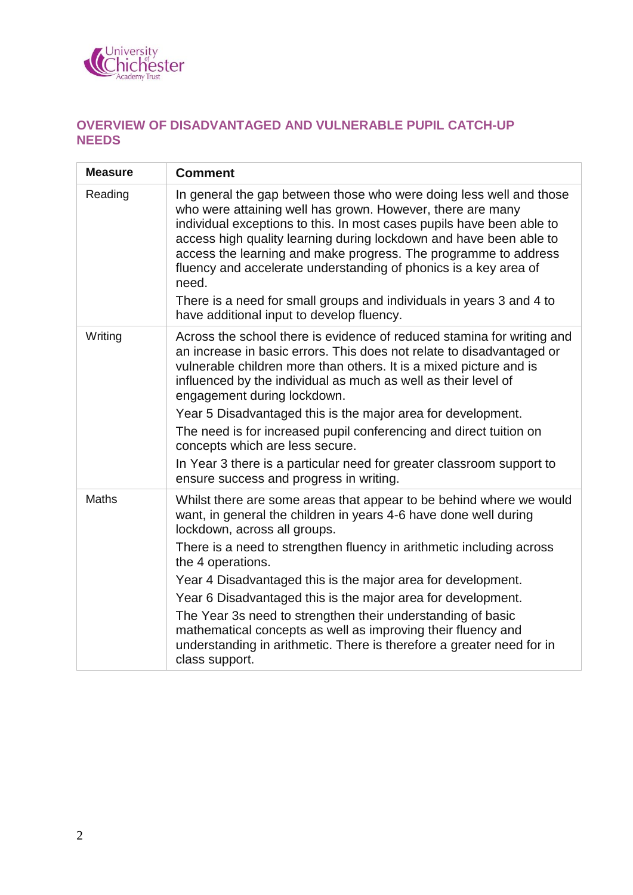

### **OVERVIEW OF DISADVANTAGED AND VULNERABLE PUPIL CATCH-UP NEEDS**

| <b>Measure</b> | <b>Comment</b>                                                                                                                                                                                                                                                                                                                                                                                                                                                                                                                                                                                                                 |
|----------------|--------------------------------------------------------------------------------------------------------------------------------------------------------------------------------------------------------------------------------------------------------------------------------------------------------------------------------------------------------------------------------------------------------------------------------------------------------------------------------------------------------------------------------------------------------------------------------------------------------------------------------|
| Reading        | In general the gap between those who were doing less well and those<br>who were attaining well has grown. However, there are many<br>individual exceptions to this. In most cases pupils have been able to<br>access high quality learning during lockdown and have been able to<br>access the learning and make progress. The programme to address<br>fluency and accelerate understanding of phonics is a key area of<br>need.<br>There is a need for small groups and individuals in years 3 and 4 to<br>have additional input to develop fluency.                                                                          |
| Writing        | Across the school there is evidence of reduced stamina for writing and<br>an increase in basic errors. This does not relate to disadvantaged or<br>vulnerable children more than others. It is a mixed picture and is<br>influenced by the individual as much as well as their level of<br>engagement during lockdown.<br>Year 5 Disadvantaged this is the major area for development.<br>The need is for increased pupil conferencing and direct tuition on<br>concepts which are less secure.<br>In Year 3 there is a particular need for greater classroom support to<br>ensure success and progress in writing.            |
| <b>Maths</b>   | Whilst there are some areas that appear to be behind where we would<br>want, in general the children in years 4-6 have done well during<br>lockdown, across all groups.<br>There is a need to strengthen fluency in arithmetic including across<br>the 4 operations.<br>Year 4 Disadvantaged this is the major area for development.<br>Year 6 Disadvantaged this is the major area for development.<br>The Year 3s need to strengthen their understanding of basic<br>mathematical concepts as well as improving their fluency and<br>understanding in arithmetic. There is therefore a greater need for in<br>class support. |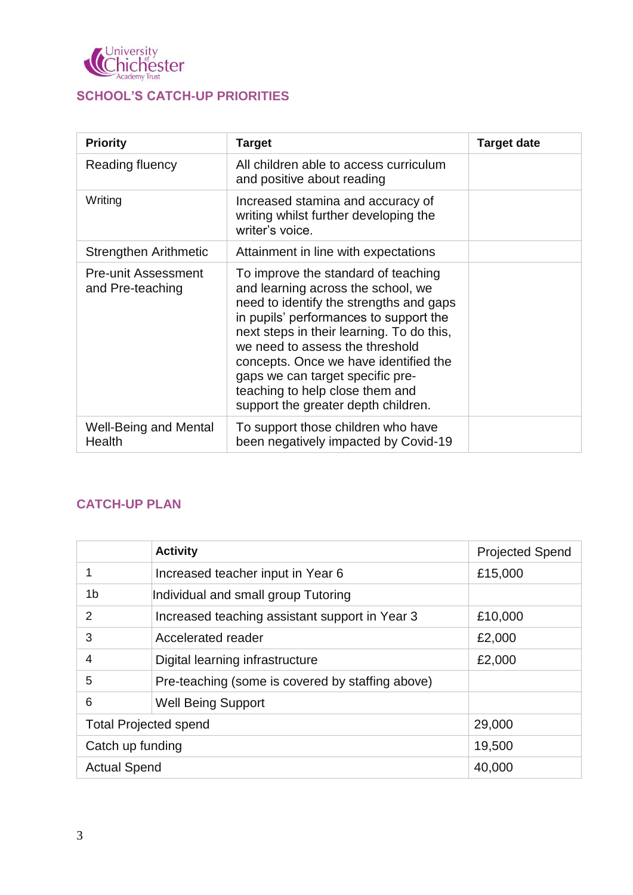

### **SCHOOL'S CATCH-UP PRIORITIES**

| <b>Priority</b>                                | <b>Target</b>                                                                                                                                                                                                                                                                                                                                                                                         | <b>Target date</b> |
|------------------------------------------------|-------------------------------------------------------------------------------------------------------------------------------------------------------------------------------------------------------------------------------------------------------------------------------------------------------------------------------------------------------------------------------------------------------|--------------------|
| Reading fluency                                | All children able to access curriculum<br>and positive about reading                                                                                                                                                                                                                                                                                                                                  |                    |
| Writing                                        | Increased stamina and accuracy of<br>writing whilst further developing the<br>writer's voice.                                                                                                                                                                                                                                                                                                         |                    |
| Strengthen Arithmetic                          | Attainment in line with expectations                                                                                                                                                                                                                                                                                                                                                                  |                    |
| <b>Pre-unit Assessment</b><br>and Pre-teaching | To improve the standard of teaching<br>and learning across the school, we<br>need to identify the strengths and gaps<br>in pupils' performances to support the<br>next steps in their learning. To do this,<br>we need to assess the threshold<br>concepts. Once we have identified the<br>gaps we can target specific pre-<br>teaching to help close them and<br>support the greater depth children. |                    |
| Well-Being and Mental<br>Health                | To support those children who have<br>been negatively impacted by Covid-19                                                                                                                                                                                                                                                                                                                            |                    |

### **CATCH-UP PLAN**

|                              | <b>Activity</b>                                  | <b>Projected Spend</b> |
|------------------------------|--------------------------------------------------|------------------------|
|                              | Increased teacher input in Year 6                | £15,000                |
| 1 <sub>b</sub>               | Individual and small group Tutoring              |                        |
| 2                            | Increased teaching assistant support in Year 3   | £10,000                |
| 3                            | Accelerated reader                               | £2,000                 |
| 4                            | Digital learning infrastructure                  | £2,000                 |
| 5                            | Pre-teaching (some is covered by staffing above) |                        |
| 6                            | <b>Well Being Support</b>                        |                        |
| <b>Total Projected spend</b> |                                                  | 29,000                 |
| Catch up funding             |                                                  | 19,500                 |
| <b>Actual Spend</b>          |                                                  | 40,000                 |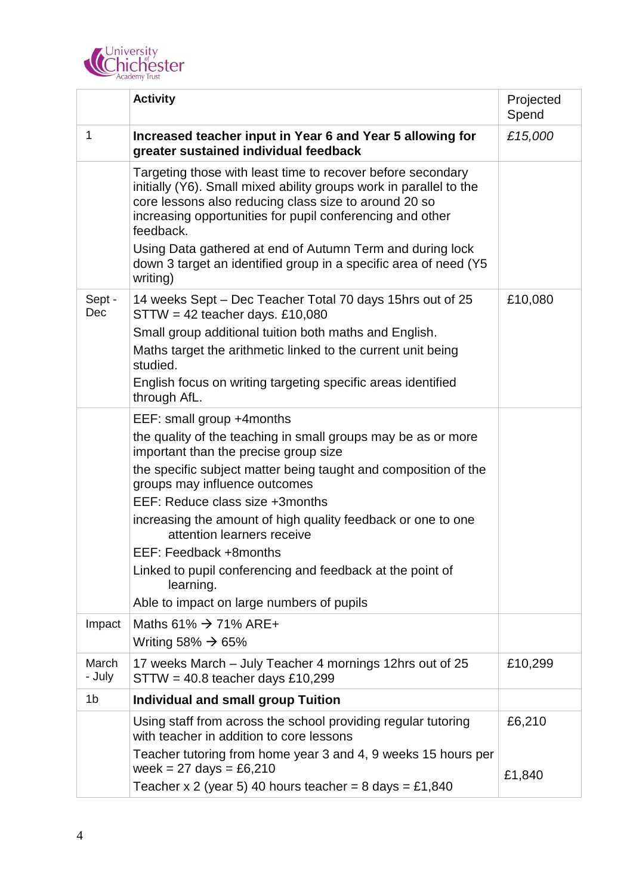

|                 | <b>Activity</b>                                                                                                                                                                                                                                                                                                                                                                                                                                                                                                           | Projected<br>Spend |
|-----------------|---------------------------------------------------------------------------------------------------------------------------------------------------------------------------------------------------------------------------------------------------------------------------------------------------------------------------------------------------------------------------------------------------------------------------------------------------------------------------------------------------------------------------|--------------------|
| 1               | Increased teacher input in Year 6 and Year 5 allowing for<br>greater sustained individual feedback                                                                                                                                                                                                                                                                                                                                                                                                                        | £15,000            |
|                 | Targeting those with least time to recover before secondary<br>initially (Y6). Small mixed ability groups work in parallel to the<br>core lessons also reducing class size to around 20 so<br>increasing opportunities for pupil conferencing and other<br>feedback.                                                                                                                                                                                                                                                      |                    |
|                 | Using Data gathered at end of Autumn Term and during lock<br>down 3 target an identified group in a specific area of need (Y5<br>writing)                                                                                                                                                                                                                                                                                                                                                                                 |                    |
| Sept -<br>Dec   | 14 weeks Sept – Dec Teacher Total 70 days 15hrs out of 25<br>$STTW = 42$ teacher days. £10,080<br>Small group additional tuition both maths and English.<br>Maths target the arithmetic linked to the current unit being<br>studied.<br>English focus on writing targeting specific areas identified<br>through AfL.                                                                                                                                                                                                      | £10,080            |
|                 | EEF: small group +4months<br>the quality of the teaching in small groups may be as or more<br>important than the precise group size<br>the specific subject matter being taught and composition of the<br>groups may influence outcomes<br>EEF: Reduce class size +3months<br>increasing the amount of high quality feedback or one to one<br>attention learners receive<br>EEF: Feedback +8months<br>Linked to pupil conferencing and feedback at the point of<br>learning.<br>Able to impact on large numbers of pupils |                    |
| Impact          | Maths 61% $\rightarrow$ 71% ARE+<br>Writing 58% $\rightarrow$ 65%                                                                                                                                                                                                                                                                                                                                                                                                                                                         |                    |
| March<br>- July | 17 weeks March – July Teacher 4 mornings 12hrs out of 25<br>$STTW = 40.8$ teacher days £10,299                                                                                                                                                                                                                                                                                                                                                                                                                            | £10,299            |
| 1 <sub>b</sub>  | <b>Individual and small group Tuition</b>                                                                                                                                                                                                                                                                                                                                                                                                                                                                                 |                    |
|                 | Using staff from across the school providing regular tutoring<br>with teacher in addition to core lessons                                                                                                                                                                                                                                                                                                                                                                                                                 | £6,210             |
|                 | Teacher tutoring from home year 3 and 4, 9 weeks 15 hours per<br>week = $27 \text{ days} = £6,210$<br>Teacher x 2 (year 5) 40 hours teacher = 8 days = £1,840                                                                                                                                                                                                                                                                                                                                                             | £1,840             |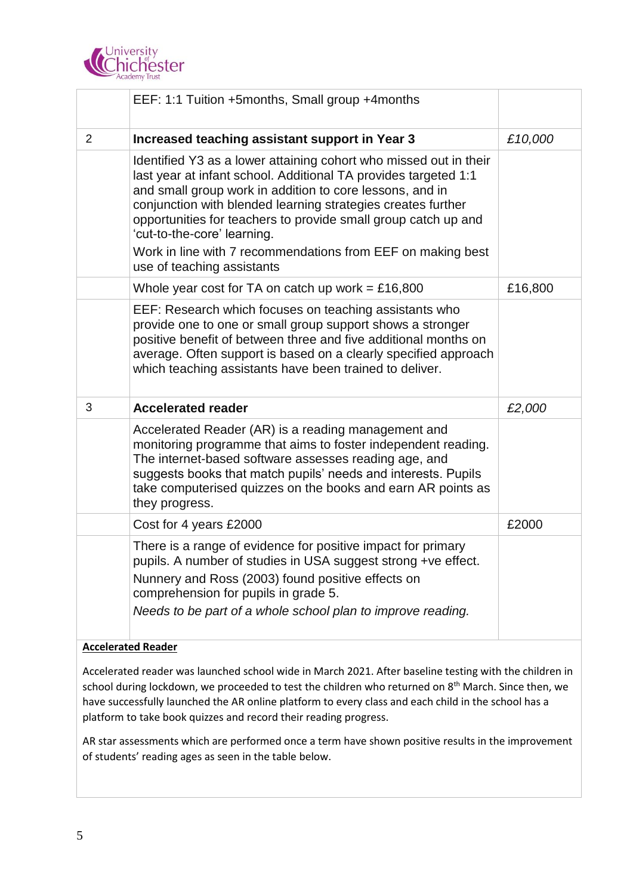

|                | EEF: 1:1 Tuition +5months, Small group +4months                                                                                                                                                                                                                                                                                                                                                                                                                |         |
|----------------|----------------------------------------------------------------------------------------------------------------------------------------------------------------------------------------------------------------------------------------------------------------------------------------------------------------------------------------------------------------------------------------------------------------------------------------------------------------|---------|
| $\overline{2}$ | Increased teaching assistant support in Year 3                                                                                                                                                                                                                                                                                                                                                                                                                 | £10,000 |
|                | Identified Y3 as a lower attaining cohort who missed out in their<br>last year at infant school. Additional TA provides targeted 1:1<br>and small group work in addition to core lessons, and in<br>conjunction with blended learning strategies creates further<br>opportunities for teachers to provide small group catch up and<br>'cut-to-the-core' learning.<br>Work in line with 7 recommendations from EEF on making best<br>use of teaching assistants |         |
|                | Whole year cost for TA on catch up work = £16,800                                                                                                                                                                                                                                                                                                                                                                                                              | £16,800 |
|                | EEF: Research which focuses on teaching assistants who<br>provide one to one or small group support shows a stronger<br>positive benefit of between three and five additional months on<br>average. Often support is based on a clearly specified approach<br>which teaching assistants have been trained to deliver.                                                                                                                                          |         |
| 3              | <b>Accelerated reader</b>                                                                                                                                                                                                                                                                                                                                                                                                                                      | £2,000  |
|                | Accelerated Reader (AR) is a reading management and<br>monitoring programme that aims to foster independent reading.<br>The internet-based software assesses reading age, and<br>suggests books that match pupils' needs and interests. Pupils<br>take computerised quizzes on the books and earn AR points as<br>they progress.                                                                                                                               |         |
|                | Cost for 4 years £2000                                                                                                                                                                                                                                                                                                                                                                                                                                         | £2000   |
|                | There is a range of evidence for positive impact for primary<br>pupils. A number of studies in USA suggest strong +ve effect.<br>Nunnery and Ross (2003) found positive effects on<br>comprehension for pupils in grade 5.<br>Needs to be part of a whole school plan to improve reading.                                                                                                                                                                      |         |

#### **Accelerated Reader**

Accelerated reader was launched school wide in March 2021. After baseline testing with the children in school during lockdown, we proceeded to test the children who returned on 8<sup>th</sup> March. Since then, we have successfully launched the AR online platform to every class and each child in the school has a platform to take book quizzes and record their reading progress.

AR star assessments which are performed once a term have shown positive results in the improvement of students' reading ages as seen in the table below.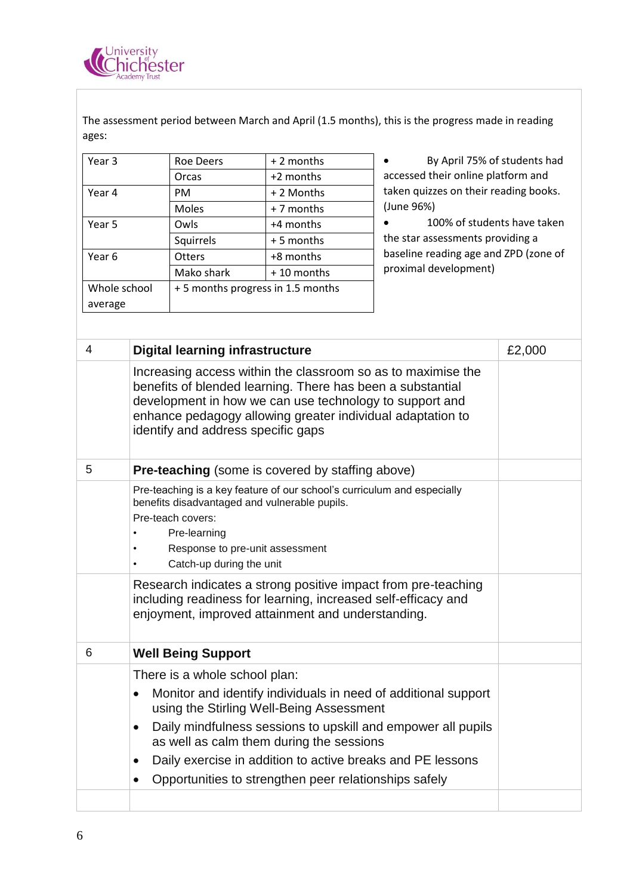

The assessment period between March and April (1.5 months), this is the progress made in reading ages:

| Year 3       | <b>Roe Deers</b>                 | $+2$ months  |
|--------------|----------------------------------|--------------|
|              | Orcas                            | +2 months    |
| Year 4       | <b>PM</b>                        | + 2 Months   |
|              | Moles                            | + 7 months   |
| Year 5       | Owls                             | +4 months    |
|              | Squirrels                        | $+5$ months  |
| Year 6       | <b>Otters</b>                    | +8 months    |
|              | Mako shark                       | $+10$ months |
| Whole school | +5 months progress in 1.5 months |              |
| average      |                                  |              |

 By April 75% of students had accessed their online platform and taken quizzes on their reading books. (June 96%)

 100% of students have taken the star assessments providing a baseline reading age and ZPD (zone of proximal development)

| 4 | <b>Digital learning infrastructure</b>                                                                                                                                                                                                                                                                                                                                                                              | £2,000 |
|---|---------------------------------------------------------------------------------------------------------------------------------------------------------------------------------------------------------------------------------------------------------------------------------------------------------------------------------------------------------------------------------------------------------------------|--------|
|   | Increasing access within the classroom so as to maximise the<br>benefits of blended learning. There has been a substantial<br>development in how we can use technology to support and<br>enhance pedagogy allowing greater individual adaptation to<br>identify and address specific gaps                                                                                                                           |        |
| 5 | Pre-teaching (some is covered by staffing above)                                                                                                                                                                                                                                                                                                                                                                    |        |
|   | Pre-teaching is a key feature of our school's curriculum and especially<br>benefits disadvantaged and vulnerable pupils.<br>Pre-teach covers:<br>Pre-learning<br>Response to pre-unit assessment<br>Catch-up during the unit<br>Research indicates a strong positive impact from pre-teaching<br>including readiness for learning, increased self-efficacy and<br>enjoyment, improved attainment and understanding. |        |
| 6 | <b>Well Being Support</b>                                                                                                                                                                                                                                                                                                                                                                                           |        |
|   | There is a whole school plan:                                                                                                                                                                                                                                                                                                                                                                                       |        |
|   | Monitor and identify individuals in need of additional support<br>$\bullet$<br>using the Stirling Well-Being Assessment                                                                                                                                                                                                                                                                                             |        |
|   | Daily mindfulness sessions to upskill and empower all pupils<br>$\bullet$<br>as well as calm them during the sessions                                                                                                                                                                                                                                                                                               |        |
|   | Daily exercise in addition to active breaks and PE lessons<br>$\bullet$                                                                                                                                                                                                                                                                                                                                             |        |
|   | Opportunities to strengthen peer relationships safely<br>$\bullet$                                                                                                                                                                                                                                                                                                                                                  |        |
|   |                                                                                                                                                                                                                                                                                                                                                                                                                     |        |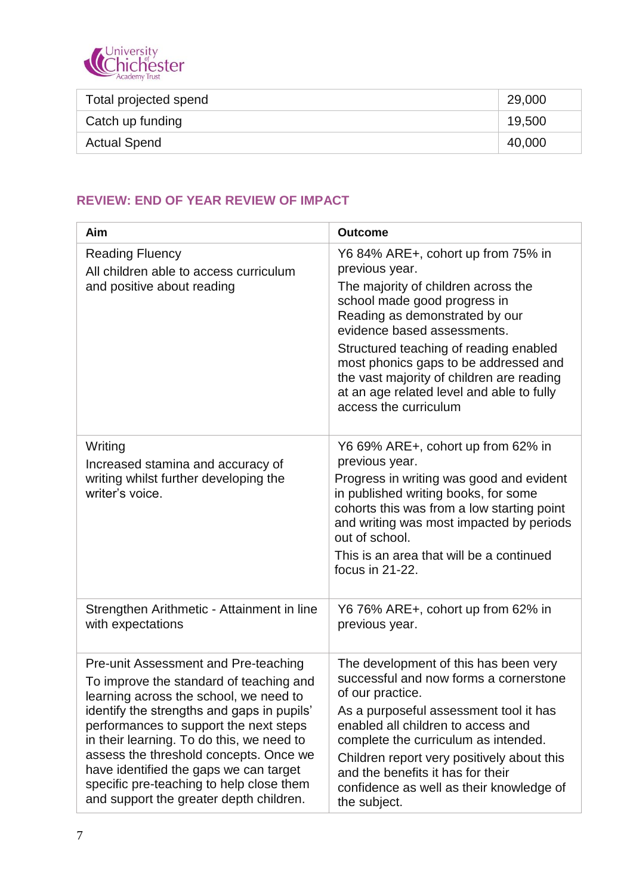

| Total projected spend | 29,000 |
|-----------------------|--------|
| Catch up funding      | 19,500 |
| <b>Actual Spend</b>   | 40,000 |

## **REVIEW: END OF YEAR REVIEW OF IMPACT**

| Aim                                                                                                                                                                                                                                                                                                                                                                                                                                       | <b>Outcome</b>                                                                                                                                                                                                                                                                                                                                                                                     |
|-------------------------------------------------------------------------------------------------------------------------------------------------------------------------------------------------------------------------------------------------------------------------------------------------------------------------------------------------------------------------------------------------------------------------------------------|----------------------------------------------------------------------------------------------------------------------------------------------------------------------------------------------------------------------------------------------------------------------------------------------------------------------------------------------------------------------------------------------------|
| <b>Reading Fluency</b><br>All children able to access curriculum<br>and positive about reading                                                                                                                                                                                                                                                                                                                                            | Y6 84% ARE+, cohort up from 75% in<br>previous year.<br>The majority of children across the<br>school made good progress in<br>Reading as demonstrated by our<br>evidence based assessments.<br>Structured teaching of reading enabled<br>most phonics gaps to be addressed and<br>the vast majority of children are reading<br>at an age related level and able to fully<br>access the curriculum |
| Writing<br>Increased stamina and accuracy of<br>writing whilst further developing the<br>writer's voice.                                                                                                                                                                                                                                                                                                                                  | Y6 69% ARE+, cohort up from 62% in<br>previous year.<br>Progress in writing was good and evident<br>in published writing books, for some<br>cohorts this was from a low starting point<br>and writing was most impacted by periods<br>out of school.<br>This is an area that will be a continued<br>focus in 21-22.                                                                                |
| Strengthen Arithmetic - Attainment in line<br>with expectations                                                                                                                                                                                                                                                                                                                                                                           | Y6 76% ARE+, cohort up from 62% in<br>previous year.                                                                                                                                                                                                                                                                                                                                               |
| Pre-unit Assessment and Pre-teaching<br>To improve the standard of teaching and<br>learning across the school, we need to<br>identify the strengths and gaps in pupils'<br>performances to support the next steps<br>in their learning. To do this, we need to<br>assess the threshold concepts. Once we<br>have identified the gaps we can target<br>specific pre-teaching to help close them<br>and support the greater depth children. | The development of this has been very<br>successful and now forms a cornerstone<br>of our practice.<br>As a purposeful assessment tool it has<br>enabled all children to access and<br>complete the curriculum as intended.<br>Children report very positively about this<br>and the benefits it has for their<br>confidence as well as their knowledge of<br>the subject.                         |